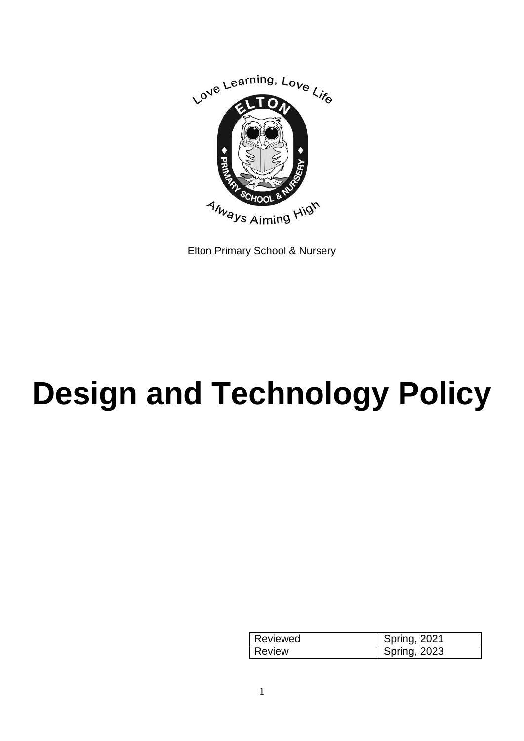

Elton Primary School & Nursery

# **Design and Technology Policy**

| Reviewed | <b>Spring, 2021</b> |
|----------|---------------------|
| Review   | Spring, 2023        |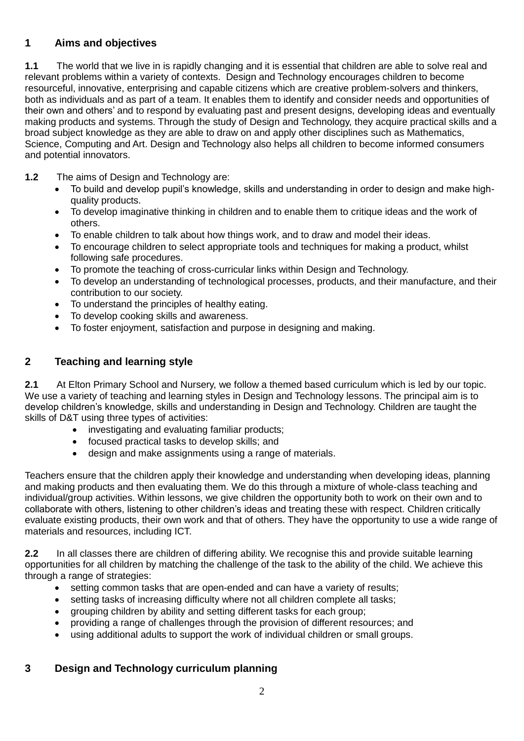# **1 Aims and objectives**

**1.1** The world that we live in is rapidly changing and it is essential that children are able to solve real and relevant problems within a variety of contexts. Design and Technology encourages children to become resourceful, innovative, enterprising and capable citizens which are creative problem-solvers and thinkers, both as individuals and as part of a team. It enables them to identify and consider needs and opportunities of their own and others' and to respond by evaluating past and present designs, developing ideas and eventually making products and systems. Through the study of Design and Technology, they acquire practical skills and a broad subject knowledge as they are able to draw on and apply other disciplines such as Mathematics, Science, Computing and Art. Design and Technology also helps all children to become informed consumers and potential innovators.

- **1.2** The aims of Design and Technology are:
	- To build and develop pupil's knowledge, skills and understanding in order to design and make highquality products.
	- To develop imaginative thinking in children and to enable them to critique ideas and the work of others.
	- To enable children to talk about how things work, and to draw and model their ideas.
	- To encourage children to select appropriate tools and techniques for making a product, whilst following safe procedures.
	- To promote the teaching of cross-curricular links within Design and Technology.
	- To develop an understanding of technological processes, products, and their manufacture, and their contribution to our society.
	- To understand the principles of healthy eating.
	- To develop cooking skills and awareness.
	- To foster enjoyment, satisfaction and purpose in designing and making.

## **2 Teaching and learning style**

2.1 At Elton Primary School and Nursery, we follow a themed based curriculum which is led by our topic. We use a variety of teaching and learning styles in Design and Technology lessons. The principal aim is to develop children's knowledge, skills and understanding in Design and Technology. Children are taught the skills of D&T using three types of activities:

- investigating and evaluating familiar products;
- focused practical tasks to develop skills; and
- design and make assignments using a range of materials.

Teachers ensure that the children apply their knowledge and understanding when developing ideas, planning and making products and then evaluating them. We do this through a mixture of whole-class teaching and individual/group activities. Within lessons, we give children the opportunity both to work on their own and to collaborate with others, listening to other children's ideas and treating these with respect. Children critically evaluate existing products, their own work and that of others. They have the opportunity to use a wide range of materials and resources, including ICT.

**2.2** In all classes there are children of differing ability. We recognise this and provide suitable learning opportunities for all children by matching the challenge of the task to the ability of the child. We achieve this through a range of strategies:

- setting common tasks that are open-ended and can have a variety of results;
- setting tasks of increasing difficulty where not all children complete all tasks;
- grouping children by ability and setting different tasks for each group;
- providing a range of challenges through the provision of different resources; and
- using additional adults to support the work of individual children or small groups.

## **3 Design and Technology curriculum planning**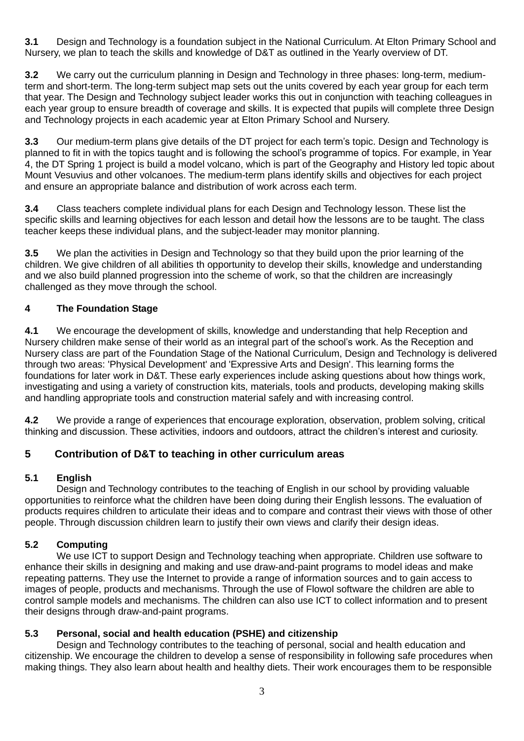**3.1** Design and Technology is a foundation subject in the National Curriculum. At Elton Primary School and Nursery, we plan to teach the skills and knowledge of D&T as outlined in the Yearly overview of DT.

**3.2** We carry out the curriculum planning in Design and Technology in three phases: long-term, mediumterm and short-term. The long-term subject map sets out the units covered by each year group for each term that year. The Design and Technology subject leader works this out in conjunction with teaching colleagues in each year group to ensure breadth of coverage and skills. It is expected that pupils will complete three Design and Technology projects in each academic year at Elton Primary School and Nursery.

**3.3** Our medium-term plans give details of the DT project for each term's topic. Design and Technology is planned to fit in with the topics taught and is following the school's programme of topics. For example, in Year 4, the DT Spring 1 project is build a model volcano, which is part of the Geography and History led topic about Mount Vesuvius and other volcanoes. The medium-term plans identify skills and objectives for each project and ensure an appropriate balance and distribution of work across each term.

**3.4** Class teachers complete individual plans for each Design and Technology lesson. These list the specific skills and learning objectives for each lesson and detail how the lessons are to be taught. The class teacher keeps these individual plans, and the subject-leader may monitor planning.

**3.5** We plan the activities in Design and Technology so that they build upon the prior learning of the children. We give children of all abilities th opportunity to develop their skills, knowledge and understanding and we also build planned progression into the scheme of work, so that the children are increasingly challenged as they move through the school.

#### **4 The Foundation Stage**

**4.1** We encourage the development of skills, knowledge and understanding that help Reception and Nursery children make sense of their world as an integral part of the school's work. As the Reception and Nursery class are part of the Foundation Stage of the National Curriculum, Design and Technology is delivered through two areas: 'Physical Development' and 'Expressive Arts and Design'. This learning forms the foundations for later work in D&T. These early experiences include asking questions about how things work, investigating and using a variety of construction kits, materials, tools and products, developing making skills and handling appropriate tools and construction material safely and with increasing control.

**4.2** We provide a range of experiences that encourage exploration, observation, problem solving, critical thinking and discussion. These activities, indoors and outdoors, attract the children's interest and curiosity.

## **5 Contribution of D&T to teaching in other curriculum areas**

#### **5.1 English**

Design and Technology contributes to the teaching of English in our school by providing valuable opportunities to reinforce what the children have been doing during their English lessons. The evaluation of products requires children to articulate their ideas and to compare and contrast their views with those of other people. Through discussion children learn to justify their own views and clarify their design ideas.

## **5.2 Computing**

We use ICT to support Design and Technology teaching when appropriate. Children use software to enhance their skills in designing and making and use draw-and-paint programs to model ideas and make repeating patterns. They use the Internet to provide a range of information sources and to gain access to images of people, products and mechanisms. Through the use of Flowol software the children are able to control sample models and mechanisms. The children can also use ICT to collect information and to present their designs through draw-and-paint programs.

## **5.3 Personal, social and health education (PSHE) and citizenship**

Design and Technology contributes to the teaching of personal, social and health education and citizenship. We encourage the children to develop a sense of responsibility in following safe procedures when making things. They also learn about health and healthy diets. Their work encourages them to be responsible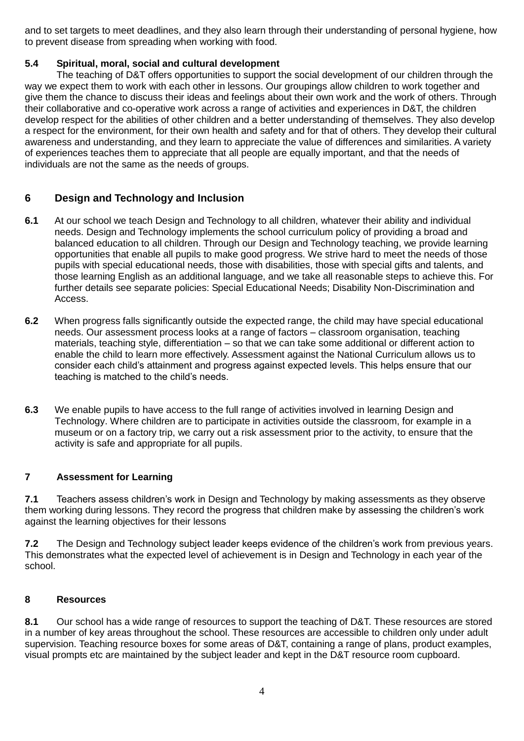and to set targets to meet deadlines, and they also learn through their understanding of personal hygiene, how to prevent disease from spreading when working with food.

#### **5.4 Spiritual, moral, social and cultural development**

The teaching of D&T offers opportunities to support the social development of our children through the way we expect them to work with each other in lessons. Our groupings allow children to work together and give them the chance to discuss their ideas and feelings about their own work and the work of others. Through their collaborative and co-operative work across a range of activities and experiences in D&T, the children develop respect for the abilities of other children and a better understanding of themselves. They also develop a respect for the environment, for their own health and safety and for that of others. They develop their cultural awareness and understanding, and they learn to appreciate the value of differences and similarities. A variety of experiences teaches them to appreciate that all people are equally important, and that the needs of individuals are not the same as the needs of groups.

## **6 Design and Technology and Inclusion**

- **6.1** At our school we teach Design and Technology to all children, whatever their ability and individual needs. Design and Technology implements the school curriculum policy of providing a broad and balanced education to all children. Through our Design and Technology teaching, we provide learning opportunities that enable all pupils to make good progress. We strive hard to meet the needs of those pupils with special educational needs, those with disabilities, those with special gifts and talents, and those learning English as an additional language, and we take all reasonable steps to achieve this. For further details see separate policies: Special Educational Needs; Disability Non-Discrimination and Access.
- **6.2** When progress falls significantly outside the expected range, the child may have special educational needs. Our assessment process looks at a range of factors – classroom organisation, teaching materials, teaching style, differentiation – so that we can take some additional or different action to enable the child to learn more effectively. Assessment against the National Curriculum allows us to consider each child's attainment and progress against expected levels. This helps ensure that our teaching is matched to the child's needs.
- **6.3** We enable pupils to have access to the full range of activities involved in learning Design and Technology. Where children are to participate in activities outside the classroom, for example in a museum or on a factory trip, we carry out a risk assessment prior to the activity, to ensure that the activity is safe and appropriate for all pupils.

## **7 Assessment for Learning**

**7.1** Teachers assess children's work in Design and Technology by making assessments as they observe them working during lessons. They record the progress that children make by assessing the children's work against the learning objectives for their lessons

**7.2** The Design and Technology subject leader keeps evidence of the children's work from previous years. This demonstrates what the expected level of achievement is in Design and Technology in each year of the school.

#### **8 Resources**

**8.1** Our school has a wide range of resources to support the teaching of D&T. These resources are stored in a number of key areas throughout the school. These resources are accessible to children only under adult supervision. Teaching resource boxes for some areas of D&T, containing a range of plans, product examples, visual prompts etc are maintained by the subject leader and kept in the D&T resource room cupboard.